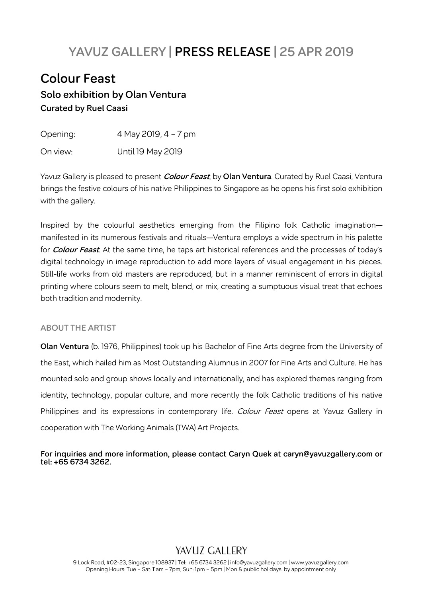# **YAVUZ GALLERY | PRESS RELEASE | 25 APR 2019**

# **Colour Feast Solo exhibition by Olan Ventura Curated by Ruel Caasi**

| Opening: | 4 May 2019, 4 - 7 pm |
|----------|----------------------|
| On view: | Until 19 May 2019    |

Yavuz Gallery is pleased to present **Colour Feast**, by **Olan Ventura**. Curated by Ruel Caasi, Ventura brings the festive colours of his native Philippines to Singapore as he opens his first solo exhibition with the gallery.

Inspired by the colourful aesthetics emerging from the Filipino folk Catholic imagination manifested in its numerous festivals and rituals—Ventura employs a wide spectrum in his palette for **Colour Feast**. At the same time, he taps art historical references and the processes of today's digital technology in image reproduction to add more layers of visual engagement in his pieces. Still-life works from old masters are reproduced, but in a manner reminiscent of errors in digital printing where colours seem to melt, blend, or mix, creating a sumptuous visual treat that echoes both tradition and modernity.

#### **ABOUT THE ARTIST**

**Olan Ventura** (b. 1976, Philippines) took up his Bachelor of Fine Arts degree from the University of the East, which hailed him as Most Outstanding Alumnus in 2007 for Fine Arts and Culture. He has mounted solo and group shows locally and internationally, and has explored themes ranging from identity, technology, popular culture, and more recently the folk Catholic traditions of his native Philippines and its expressions in contemporary life. Colour Feast opens at Yavuz Gallery in cooperation with The Working Animals (TWA) Art Projects.

**For inquiries and more information, please contact Caryn Quek at caryn@yavuzgallery.com or tel: +65 6734 3262.**

## YAVUZ GALLERY

9 Lock Road, #02-23, Singapore 108937 | Tel: +65 6734 3262 | info@yavuzgallery.com | www.yavuzgallery.com Opening Hours: Tue – Sat: 11am – 7pm, Sun: 1pm – 5pm | Mon & public holidays: by appointment only